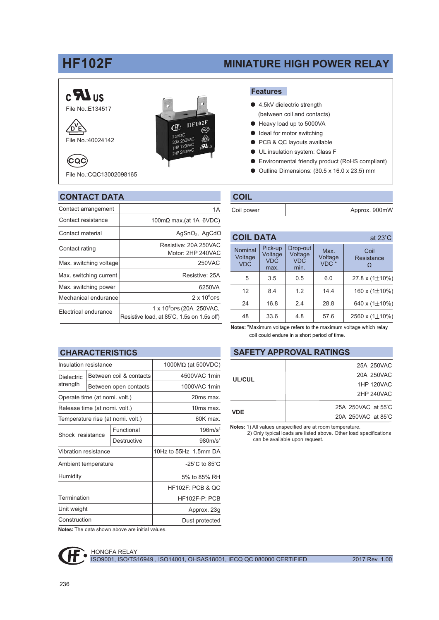# **HF102F**

# **MINIATURE HIGH POWER RELAY**

## $c$   $\mathbf{Z}$  us File No.: E134517

A<sup>V</sup>E



File No.: 40024142

(CQC)



File No.: COC13002098165

#### **CONTACT DATA**

| Contact arrangement    | 1A                                                                                  |  |  |
|------------------------|-------------------------------------------------------------------------------------|--|--|
| Contact resistance     | 100m $\Omega$ max.(at 1A 6VDC)                                                      |  |  |
| Contact material       | $AgSnO2$ , $AgCdO$                                                                  |  |  |
| Contact rating         | Resistive: 20A 250VAC<br>Motor: 2HP 240VAC                                          |  |  |
| Max. switching voltage | 250VAC                                                                              |  |  |
| Max. switching current | Resistive: 25A                                                                      |  |  |
| Max. switching power   | 6250VA                                                                              |  |  |
| Mechanical endurance   | $2 \times 10^6$ OPS                                                                 |  |  |
| Electrical endurance   | 1 x 10 <sup>5</sup> ops (20A 250 VAC,<br>Resistive load, at 85°C, 1.5s on 1.5s off) |  |  |

| нн<br>e.<br><b>Service Service</b><br>. – |
|-------------------------------------------|
|                                           |

- 4.5kV dielectric strength (between coil and contacts)
- Heavy load up to 5000VA
- ldeal for motor switching
- PCB & QC layouts available  $\bullet$
- **O** UL insulation system: Class F
- Environmental friendly product (RoHS compliant)  $\bullet$
- Outline Dimensions: (30.5 x 16.0 x 23.5) mm

#### **COIL**

| Coil power | Approx. 900mW |
|------------|---------------|
|            |               |

| <b>COIL DATA</b> |                                  |                                          |                                           | at $23^{\circ}$ C                   |                            |
|------------------|----------------------------------|------------------------------------------|-------------------------------------------|-------------------------------------|----------------------------|
|                  | Nominal<br>Voltage<br><b>VDC</b> | Pick-up<br>Voltage<br><b>VDC</b><br>max. | Drop-out<br>Voltage<br><b>VDC</b><br>min. | Max.<br>Voltage<br>VDC <sup>*</sup> | Coil<br>Resistance         |
|                  | 5                                | 3.5                                      | 0.5                                       | 6.0                                 | $27.8 \times (1 \pm 10\%)$ |
|                  | 12                               | 8.4                                      | 1.2                                       | 14.4                                | 160 x $(1\pm10\%)$         |
|                  | 24                               | 16.8                                     | 2.4                                       | 28.8                                | 640 x $(1\pm10\%)$         |
|                  | 48                               | 33.6                                     | 4.8                                       | 57.6                                | 2560 x (1±10%)             |

Notes: \*Maximum voltage refers to the maximum voltage which relay coil could endure in a short period of time.

#### **SAFETY APPROVAL RATINGS**

| UL/CUL | 25A 250VAC         |
|--------|--------------------|
|        | 20A 250VAC         |
|        | 1HP 120VAC         |
|        | 2HP 240VAC         |
| VDE    | 25A 250VAC at 55°C |
|        | 20A 250VAC at 85°C |

Notes: 1) All values unspecified are at room temperature.

2) Only typical loads are listed above. Other load specifications can be available upon request.

# **CHARACTERISTICS**

| Insulation resistance             |                         | 1000MΩ (at 500VDC) |                                    |
|-----------------------------------|-------------------------|--------------------|------------------------------------|
| <b>Dielectric</b>                 | Between coil & contacts |                    | 4500VAC 1min                       |
| strength                          | Between open contacts   |                    | 1000VAC 1min                       |
| Operate time (at nomi. volt.)     |                         | 20ms max.          |                                    |
| Release time (at nomi. volt.)     |                         | 10ms max.          |                                    |
| Temperature rise (at nomi. volt.) |                         | 60K max.           |                                    |
| Shock resistance                  |                         | Functional         | 196m/s <sup>2</sup>                |
|                                   |                         | Destructive        | 980m/s <sup>2</sup>                |
| <b>Vibration resistance</b>       |                         |                    | 10Hz to 55Hz 1.5mm DA              |
| Ambient temperature               |                         |                    | $-25^{\circ}$ C to 85 $^{\circ}$ C |
| Humidity                          |                         |                    | 5% to 85% RH                       |
|                                   |                         |                    | <b>HF102F: PCB &amp; OC</b>        |
| Termination                       |                         |                    | HF102F-P: PCB                      |
| Unit weight                       |                         | Approx. 23g        |                                    |
| Construction                      |                         | Dust protected     |                                    |

Notes: The data shown above are initial values.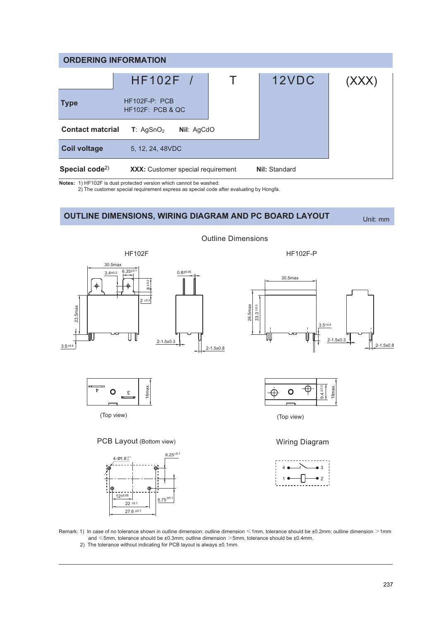| <b>ORDERING INFORMATION</b>             |                                        |  |               |       |
|-----------------------------------------|----------------------------------------|--|---------------|-------|
|                                         | HF102F /                               |  | 12VDC         | (XXX) |
| <b>Type</b>                             | $HF102F-P: PCB$<br>$HF102F$ : PCB & QC |  |               |       |
| <b>Contact matcrial</b>                 | T: AgSnO <sub>2</sub><br>Nil: AgCdO    |  |               |       |
| <b>Coil voltage</b>                     | 5, 12, 24, 48 VDC                      |  |               |       |
| Special code <sup><math>2)</math></sup> | XXX: Customer special requirement      |  | Nil: Standard |       |

Notes: 1) HF102F is dust protected version which cannot be washed.

2) The customer special requirement express as special code after evaluating by Hongfa.

## **OUTLINE DIMENSIONS, WIRING DIAGRAM AND PC BOARD LAYOUT**

Unit: mm



**Outline Dimensions** 

Remark: 1) In case of no tolerance shown in outline dimension: outline dimension ≤1mm, tolerance should be ±0.2mm; outline dimension >1mm  $and \le 5$ mm, tolerance should be  $\pm 0.3$ mm; outline dimension  $>5$ mm, tolerance should be  $\pm 0.4$ mm.

2) The tolerance without indicating for PCB layout is always ±0.1mm.